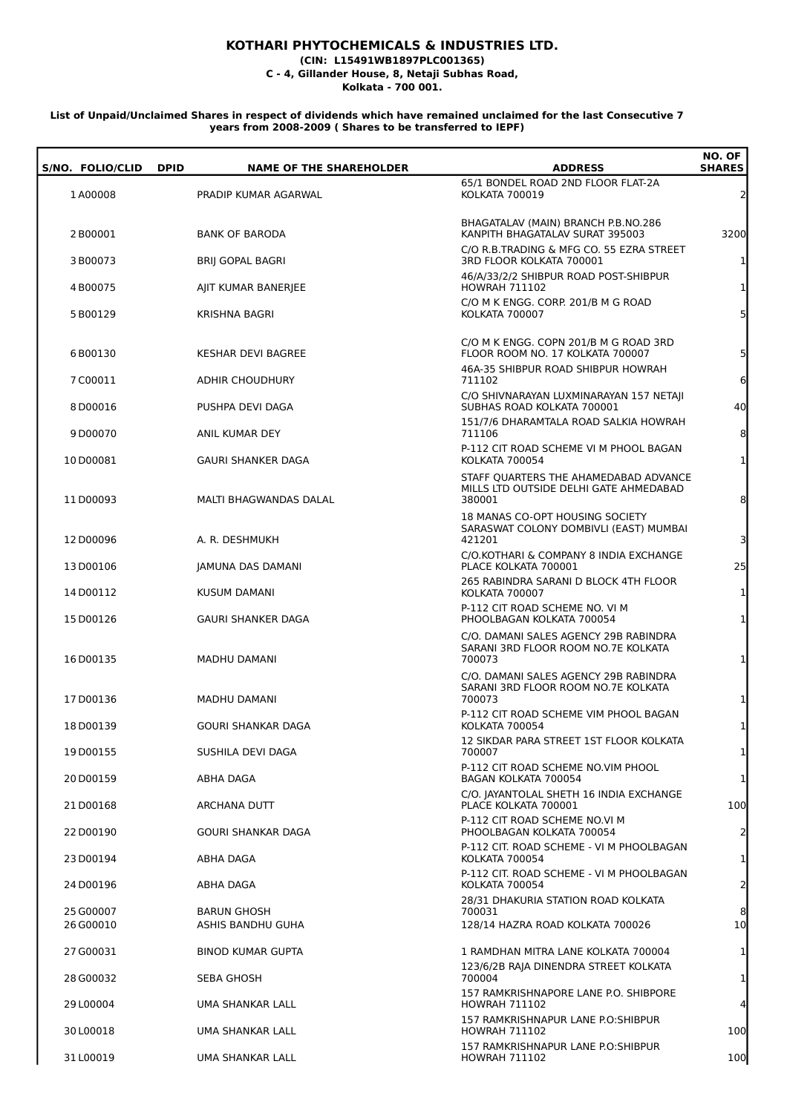## **KOTHARI PHYTOCHEMICALS & INDUSTRIES LTD.**

**(CIN: L15491WB1897PLC001365)**

**C - 4, Gillander House, 8, Netaji Subhas Road, Kolkata - 700 001.**

## **List of Unpaid/Unclaimed Shares in respect of dividends which have remained unclaimed for the last Consecutive 7 years from 2008-2009 ( Shares to be transferred to IEPF)**

| S/NO. FOLIO/CLID | <b>NAME OF THE SHAREHOLDER</b><br><b>DPID</b> | <b>ADDRESS</b>                                                                            | NO. OF<br><b>SHARES</b> |
|------------------|-----------------------------------------------|-------------------------------------------------------------------------------------------|-------------------------|
| 1A00008          | PRADIP KUMAR AGARWAL                          | 65/1 BONDEL ROAD 2ND FLOOR FLAT-2A<br>KOLKATA 700019                                      | $\overline{2}$          |
| 2B00001          | <b>BANK OF BARODA</b>                         | BHAGATALAV (MAIN) BRANCH P.B.NO.286<br>KANPITH BHAGATALAV SURAT 395003                    | 3200                    |
| 3B00073          | <b>BRIJ GOPAL BAGRI</b>                       | C/O R.B.TRADING & MFG CO. 55 EZRA STREET<br>3RD FLOOR KOLKATA 700001                      | $\mathbf{1}$            |
| 4B00075          | AJIT KUMAR BANERJEE                           | 46/A/33/2/2 SHIBPUR ROAD POST-SHIBPUR<br><b>HOWRAH 711102</b>                             | $\mathbf{1}$            |
| 5B00129          | <b>KRISHNA BAGRI</b>                          | C/O M K ENGG. CORP. 201/B M G ROAD<br><b>KOLKATA 700007</b>                               | 5 <sup>1</sup>          |
| 6B00130          | <b>KESHAR DEVI BAGREE</b>                     | C/O M K ENGG. COPN 201/B M G ROAD 3RD<br>FLOOR ROOM NO. 17 KOLKATA 700007                 | 5 <sup>1</sup>          |
| 7C00011          | <b>ADHIR CHOUDHURY</b>                        | 46A-35 SHIBPUR ROAD SHIBPUR HOWRAH<br>711102                                              | 6                       |
| 8D00016          | PUSHPA DEVI DAGA                              | C/O SHIVNARAYAN LUXMINARAYAN 157 NETAJI<br>SUBHAS ROAD KOLKATA 700001                     | 40                      |
| 9D00070          | ANIL KUMAR DEY                                | 151/7/6 DHARAMTALA ROAD SALKIA HOWRAH<br>711106                                           | 8                       |
| 10D00081         | <b>GAURI SHANKER DAGA</b>                     | P-112 CIT ROAD SCHEME VI M PHOOL BAGAN<br><b>KOLKATA 700054</b>                           | $\mathbf{1}$            |
| 11D00093         | MALTI BHAGWANDAS DALAL                        | STAFF QUARTERS THE AHAMEDABAD ADVANCE<br>MILLS LTD OUTSIDE DELHI GATE AHMEDABAD<br>380001 | 8                       |
| 12D00096         | A. R. DESHMUKH                                | 18 MANAS CO-OPT HOUSING SOCIETY<br>SARASWAT COLONY DOMBIVLI (EAST) MUMBAI<br>421201       | $\overline{\mathsf{c}}$ |
| 13D00106         | JAMUNA DAS DAMANI                             | C/O.KOTHARI & COMPANY 8 INDIA EXCHANGE<br>PLACE KOLKATA 700001                            | 25                      |
| 14D00112         | KUSUM DAMANI                                  | 265 RABINDRA SARANI D BLOCK 4TH FLOOR<br>KOLKATA 700007                                   | $\mathbf{1}$            |
| 15D00126         | <b>GAURI SHANKER DAGA</b>                     | P-112 CIT ROAD SCHEME NO. VI M<br>PHOOLBAGAN KOLKATA 700054                               | $\mathbf{1}$            |
| 16D00135         | <b>MADHU DAMANI</b>                           | C/O. DAMANI SALES AGENCY 29B RABINDRA<br>SARANI 3RD FLOOR ROOM NO.7E KOLKATA<br>700073    | $\mathbf{1}$            |
| 17D00136         | MADHU DAMANI                                  | C/O. DAMANI SALES AGENCY 29B RABINDRA<br>SARANI 3RD FLOOR ROOM NO.7E KOLKATA<br>700073    | $\mathbf{1}$            |
| 18D00139         | GOURI SHANKAR DAGA                            | P-112 CIT ROAD SCHEME VIM PHOOL BAGAN<br>KOLKATA 700054                                   | $\mathbf{1}$            |
| 19D00155         | SUSHILA DEVI DAGA                             | 12 SIKDAR PARA STREET 1ST FLOOR KOLKATA<br>700007                                         | $\mathbf{1}$            |
| 20 D00159        | ABHA DAGA                                     | P-112 CIT ROAD SCHEME NO.VIM PHOOL<br>BAGAN KOLKATA 700054                                | $\mathbf{1}$            |
| 21D00168         | ARCHANA DUTT                                  | C/O. JAYANTOLAL SHETH 16 INDIA EXCHANGE<br>PLACE KOLKATA 700001                           | 100                     |
| 22 D00190        | <b>GOURI SHANKAR DAGA</b>                     | P-112 CIT ROAD SCHEME NO.VI M<br>PHOOLBAGAN KOLKATA 700054                                | $\overline{2}$          |
| 23D00194         | ABHA DAGA                                     | P-112 CIT. ROAD SCHEME - VI M PHOOLBAGAN<br><b>KOLKATA 700054</b>                         | $\mathbf{1}$            |
| 24D00196         | ABHA DAGA                                     | P-112 CIT. ROAD SCHEME - VI M PHOOLBAGAN<br><b>KOLKATA 700054</b>                         | $\overline{2}$          |
| 25 G00007        | <b>BARUN GHOSH</b>                            | 28/31 DHAKURIA STATION ROAD KOLKATA<br>700031                                             | 8                       |
| 26 G00010        | ASHIS BANDHU GUHA                             | 128/14 HAZRA ROAD KOLKATA 700026                                                          | 10                      |
| 27 G00031        | <b>BINOD KUMAR GUPTA</b>                      | 1 RAMDHAN MITRA LANE KOLKATA 700004                                                       | $\mathbf{1}$            |
| 28 G00032        | SEBA GHOSH                                    | 123/6/2B RAJA DINENDRA STREET KOLKATA<br>700004                                           | $\mathbf{1}$            |
| 29 L00004        | UMA SHANKAR LALL                              | 157 RAMKRISHNAPORE LANE P.O. SHIBPORE<br><b>HOWRAH 711102</b>                             | $\overline{4}$          |
| 30L00018         | UMA SHANKAR LALL                              | 157 RAMKRISHNAPUR LANE P.O:SHIBPUR<br><b>HOWRAH 711102</b>                                | 100                     |
| 31L00019         | UMA SHANKAR LALL                              | 157 RAMKRISHNAPUR LANE P.O:SHIBPUR<br>HOWRAH 711102                                       | 100                     |